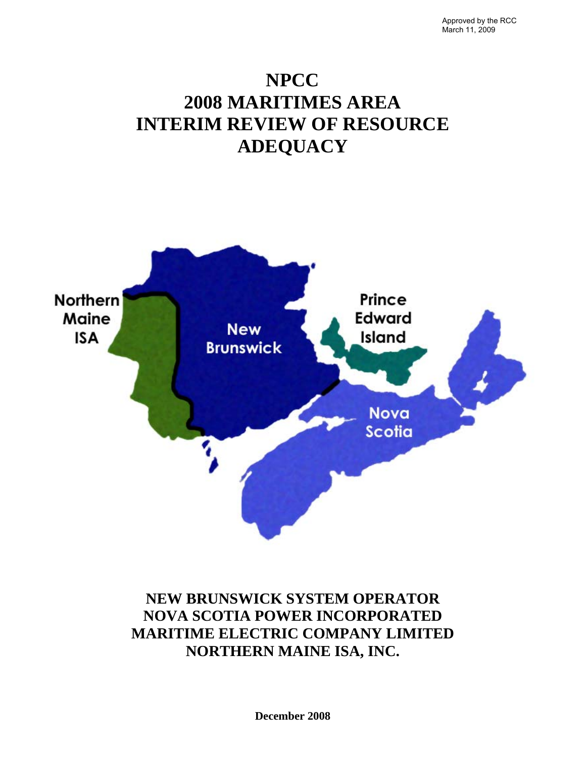



# **NEW BRUNSWICK SYSTEM OPERATOR NOVA SCOTIA POWER INCORPORATED MARITIME ELECTRIC COMPANY LIMITED NORTHERN MAINE ISA, INC.**

**December 2008**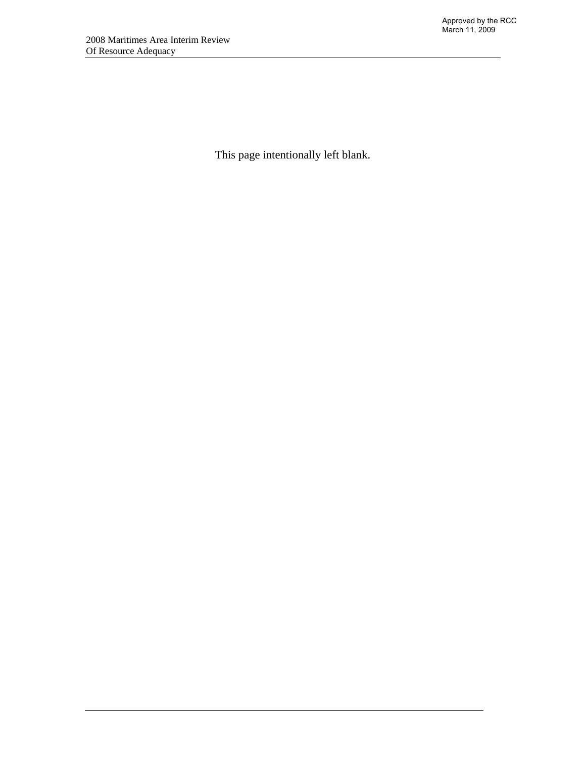This page intentionally left blank.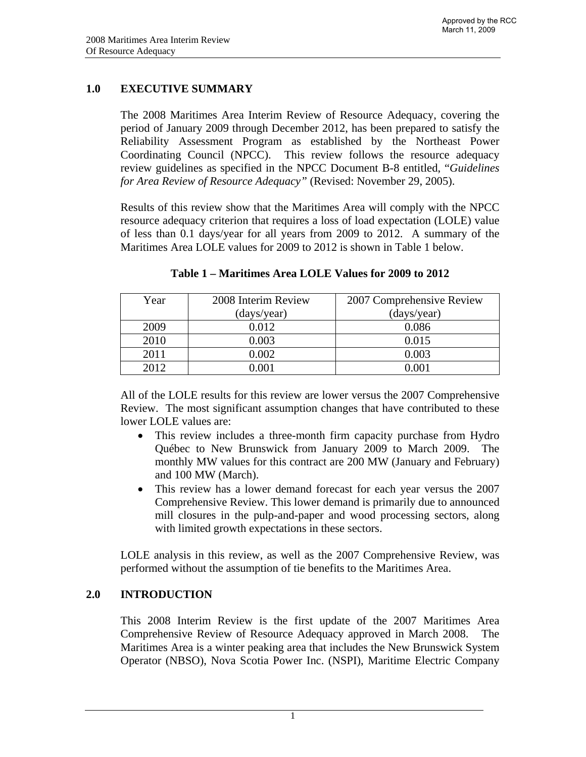## **1.0 EXECUTIVE SUMMARY**

The 2008 Maritimes Area Interim Review of Resource Adequacy, covering the period of January 2009 through December 2012, has been prepared to satisfy the Reliability Assessment Program as established by the Northeast Power Coordinating Council (NPCC). This review follows the resource adequacy review guidelines as specified in the NPCC Document B-8 entitled, "*Guidelines for Area Review of Resource Adequacy"* (Revised: November 29, 2005).

Results of this review show that the Maritimes Area will comply with the NPCC resource adequacy criterion that requires a loss of load expectation (LOLE) value of less than 0.1 days/year for all years from 2009 to 2012. A summary of the Maritimes Area LOLE values for 2009 to 2012 is shown in Table 1 below.

| Year | 2008 Interim Review | 2007 Comprehensive Review |
|------|---------------------|---------------------------|
|      | (days/year)         | (days/year)               |
| 2009 | 0.012               | 0.086                     |
| 2010 | 0.003               | 0.015                     |
| 2011 | 0.002               | 0.003                     |
| 2012 |                     |                           |

#### **Table 1 – Maritimes Area LOLE Values for 2009 to 2012**

All of the LOLE results for this review are lower versus the 2007 Comprehensive Review. The most significant assumption changes that have contributed to these lower LOLE values are:

- This review includes a three-month firm capacity purchase from Hydro Québec to New Brunswick from January 2009 to March 2009. The monthly MW values for this contract are 200 MW (January and February) and 100 MW (March).
- This review has a lower demand forecast for each year versus the 2007 Comprehensive Review. This lower demand is primarily due to announced mill closures in the pulp-and-paper and wood processing sectors, along with limited growth expectations in these sectors.

LOLE analysis in this review, as well as the 2007 Comprehensive Review, was performed without the assumption of tie benefits to the Maritimes Area.

#### **2.0 INTRODUCTION**

This 2008 Interim Review is the first update of the 2007 Maritimes Area Comprehensive Review of Resource Adequacy approved in March 2008. The Maritimes Area is a winter peaking area that includes the New Brunswick System Operator (NBSO), Nova Scotia Power Inc. (NSPI), Maritime Electric Company

1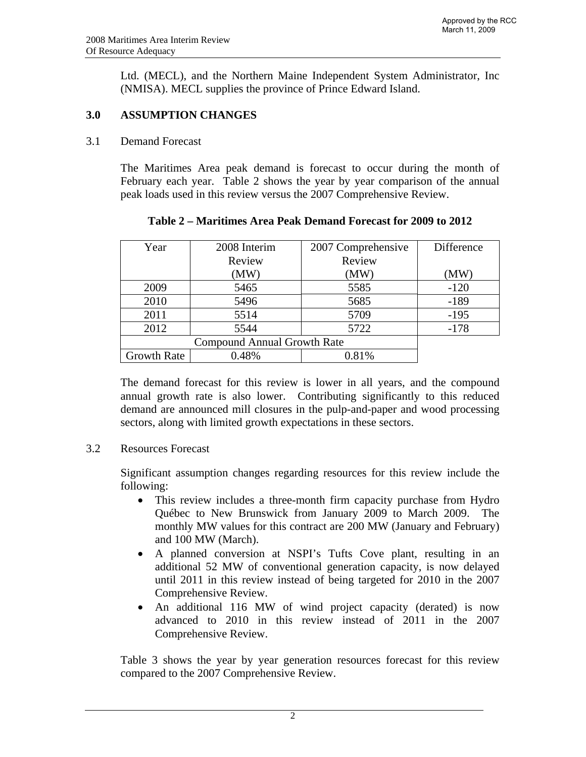Ltd. (MECL), and the Northern Maine Independent System Administrator, Inc (NMISA). MECL supplies the province of Prince Edward Island.

### **3.0 ASSUMPTION CHANGES**

3.1 Demand Forecast

The Maritimes Area peak demand is forecast to occur during the month of February each year. Table 2 shows the year by year comparison of the annual peak loads used in this review versus the 2007 Comprehensive Review.

| Year               | 2008 Interim     | Difference |        |  |  |
|--------------------|------------------|------------|--------|--|--|
|                    | Review<br>Review |            |        |  |  |
|                    | (MW)<br>(MW)     |            |        |  |  |
| 2009               | $-120$           |            |        |  |  |
| 2010               | $-189$           |            |        |  |  |
| 2011               | 5514<br>5709     |            |        |  |  |
| 2012               | 5544             | 5722       | $-178$ |  |  |
|                    |                  |            |        |  |  |
| <b>Growth Rate</b> |                  |            |        |  |  |

**Table 2 – Maritimes Area Peak Demand Forecast for 2009 to 2012** 

The demand forecast for this review is lower in all years, and the compound annual growth rate is also lower. Contributing significantly to this reduced demand are announced mill closures in the pulp-and-paper and wood processing sectors, along with limited growth expectations in these sectors.

3.2 Resources Forecast

Significant assumption changes regarding resources for this review include the following:

- This review includes a three-month firm capacity purchase from Hydro Québec to New Brunswick from January 2009 to March 2009. The monthly MW values for this contract are 200 MW (January and February) and 100 MW (March).
- A planned conversion at NSPI's Tufts Cove plant, resulting in an additional 52 MW of conventional generation capacity, is now delayed until 2011 in this review instead of being targeted for 2010 in the 2007 Comprehensive Review.
- An additional 116 MW of wind project capacity (derated) is now advanced to 2010 in this review instead of 2011 in the 2007 Comprehensive Review.

Table 3 shows the year by year generation resources forecast for this review compared to the 2007 Comprehensive Review.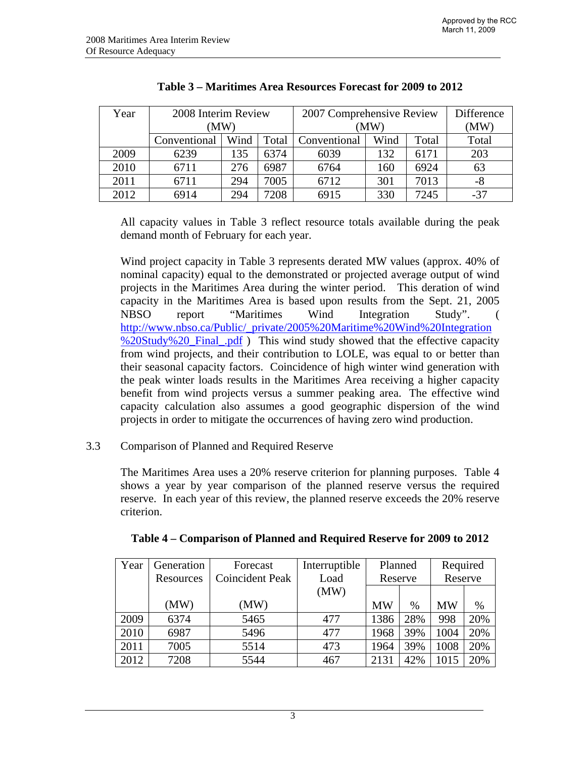| Year | 2008 Interim Review |      | 2007 Comprehensive Review  |                      | Difference |       |       |
|------|---------------------|------|----------------------------|----------------------|------------|-------|-------|
|      | (MW)                |      | $\left( \text{MW} \right)$ |                      |            | (MW)  |       |
|      | Conventional        | Wind |                            | Total   Conventional | Wind       | Total | Total |
| 2009 | 6239                | 135  | 6374                       | 6039                 | 132        | 6171  | 203   |
| 2010 | 6711                | 276  | 6987                       | 6764                 | 160        | 6924  | 63    |
| 2011 | 6711                | 294  | 7005                       | 6712                 | 301        | 7013  | -8    |
| 2012 | 6914                | 294  | 7208                       | 6915                 | 330        | 7245  | $-37$ |

| Table 3 – Maritimes Area Resources Forecast for 2009 to 2012 |
|--------------------------------------------------------------|
|--------------------------------------------------------------|

All capacity values in Table 3 reflect resource totals available during the peak demand month of February for each year.

Wind project capacity in Table 3 represents derated MW values (approx. 40% of nominal capacity) equal to the demonstrated or projected average output of wind projects in the Maritimes Area during the winter period. This deration of wind capacity in the Maritimes Area is based upon results from the Sept. 21, 2005 NBSO report "Maritimes Wind Integration Study". [http://www.nbso.ca/Public/\\_private/2005%20Maritime%20Wind%20Integration](http://www.nbso.ca/Public/_private/2005%20Maritime%20Wind%20Integration%20Study%20_Final_.pdf) [%20Study%20\\_Final\\_.pdf](http://www.nbso.ca/Public/_private/2005%20Maritime%20Wind%20Integration%20Study%20_Final_.pdf) ) This wind study showed that the effective capacity from wind projects, and their contribution to LOLE, was equal to or better than their seasonal capacity factors. Coincidence of high winter wind generation with the peak winter loads results in the Maritimes Area receiving a higher capacity benefit from wind projects versus a summer peaking area. The effective wind capacity calculation also assumes a good geographic dispersion of the wind projects in order to mitigate the occurrences of having zero wind production.

3.3 Comparison of Planned and Required Reserve

The Maritimes Area uses a 20% reserve criterion for planning purposes. Table 4 shows a year by year comparison of the planned reserve versus the required reserve. In each year of this review, the planned reserve exceeds the 20% reserve criterion.

| Year | Generation | Forecast               | Interruptible | Planned   |      | Required  |     |
|------|------------|------------------------|---------------|-----------|------|-----------|-----|
|      | Resources  | <b>Coincident Peak</b> | Load          | Reserve   |      | Reserve   |     |
|      |            |                        | (MW)          |           |      |           |     |
|      | (MW)       | (MW)                   |               | <b>MW</b> | $\%$ | <b>MW</b> | %   |
| 2009 | 6374       | 5465                   | 477           | 1386      | 28%  | 998       | 20% |
| 2010 | 6987       | 5496                   | 477           | 1968      | 39%  | 1004      | 20% |
| 2011 | 7005       | 5514                   | 473           | 1964      | 39%  | 1008      | 20% |
| 2012 | 7208       | 5544                   | 467           | 2131      | 42%  | 1015      | 20% |

|  | Table 4 – Comparison of Planned and Required Reserve for 2009 to 2012 |  |
|--|-----------------------------------------------------------------------|--|
|  |                                                                       |  |